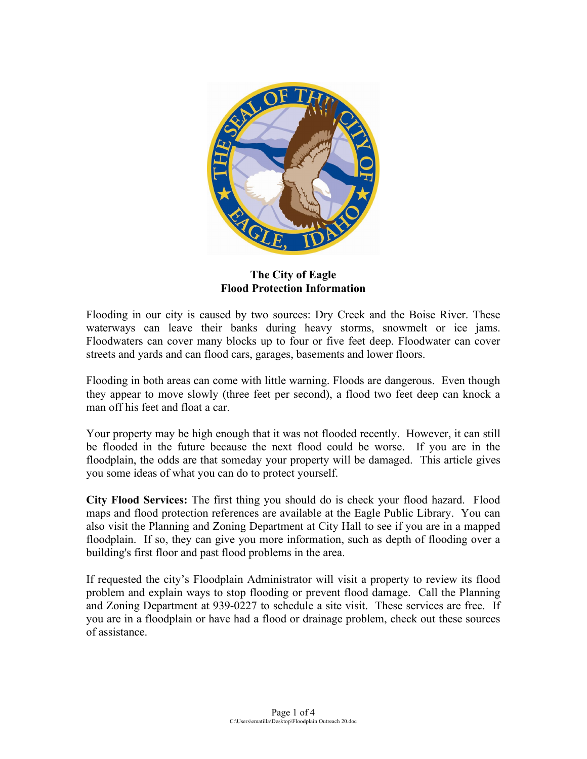

**The City of Eagle Flood Protection Information**

Flooding in our city is caused by two sources: Dry Creek and the Boise River. These waterways can leave their banks during heavy storms, snowmelt or ice jams. Floodwaters can cover many blocks up to four or five feet deep. Floodwater can cover streets and yards and can flood cars, garages, basements and lower floors.

Flooding in both areas can come with little warning. Floods are dangerous. Even though they appear to move slowly (three feet per second), a flood two feet deep can knock a man off his feet and float a car.

Your property may be high enough that it was not flooded recently. However, it can still be flooded in the future because the next flood could be worse. If you are in the floodplain, the odds are that someday your property will be damaged. This article gives you some ideas of what you can do to protect yourself.

**City Flood Services:** The first thing you should do is check your flood hazard. Flood maps and flood protection references are available at the Eagle Public Library. You can also visit the Planning and Zoning Department at City Hall to see if you are in a mapped floodplain. If so, they can give you more information, such as depth of flooding over a building's first floor and past flood problems in the area.

If requested the city's Floodplain Administrator will visit a property to review its flood problem and explain ways to stop flooding or prevent flood damage. Call the Planning and Zoning Department at 939-0227 to schedule a site visit. These services are free. If you are in a floodplain or have had a flood or drainage problem, check out these sources of assistance.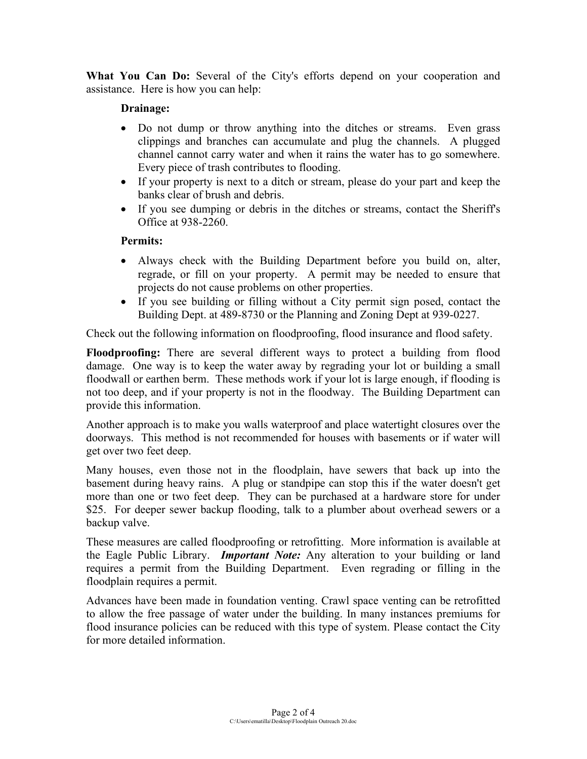**What You Can Do:** Several of the City's efforts depend on your cooperation and assistance. Here is how you can help:

## **Drainage:**

- Do not dump or throw anything into the ditches or streams. Even grass clippings and branches can accumulate and plug the channels. A plugged channel cannot carry water and when it rains the water has to go somewhere. Every piece of trash contributes to flooding.
- If your property is next to a ditch or stream, please do your part and keep the banks clear of brush and debris.
- If you see dumping or debris in the ditches or streams, contact the Sheriff's Office at 938-2260.

## **Permits:**

- Always check with the Building Department before you build on, alter, regrade, or fill on your property. A permit may be needed to ensure that projects do not cause problems on other properties.
- If you see building or filling without a City permit sign posed, contact the Building Dept. at 489-8730 or the Planning and Zoning Dept at 939-0227.

Check out the following information on floodproofing, flood insurance and flood safety.

**Floodproofing:** There are several different ways to protect a building from flood damage. One way is to keep the water away by regrading your lot or building a small floodwall or earthen berm. These methods work if your lot is large enough, if flooding is not too deep, and if your property is not in the floodway. The Building Department can provide this information.

Another approach is to make you walls waterproof and place watertight closures over the doorways. This method is not recommended for houses with basements or if water will get over two feet deep.

Many houses, even those not in the floodplain, have sewers that back up into the basement during heavy rains. A plug or standpipe can stop this if the water doesn't get more than one or two feet deep. They can be purchased at a hardware store for under \$25. For deeper sewer backup flooding, talk to a plumber about overhead sewers or a backup valve.

These measures are called floodproofing or retrofitting. More information is available at the Eagle Public Library. *Important Note:* Any alteration to your building or land requires a permit from the Building Department. Even regrading or filling in the floodplain requires a permit.

Advances have been made in foundation venting. Crawl space venting can be retrofitted to allow the free passage of water under the building. In many instances premiums for flood insurance policies can be reduced with this type of system. Please contact the City for more detailed information.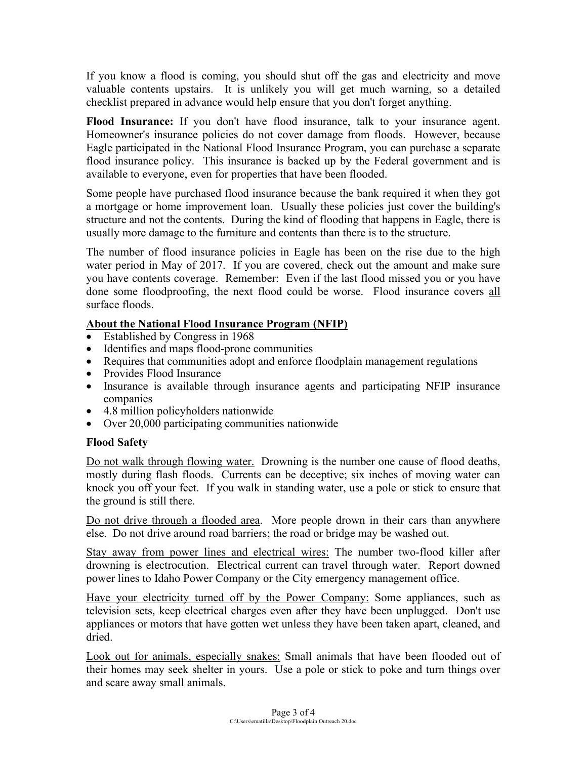If you know a flood is coming, you should shut off the gas and electricity and move valuable contents upstairs. It is unlikely you will get much warning, so a detailed checklist prepared in advance would help ensure that you don't forget anything.

**Flood Insurance:** If you don't have flood insurance, talk to your insurance agent. Homeowner's insurance policies do not cover damage from floods. However, because Eagle participated in the National Flood Insurance Program, you can purchase a separate flood insurance policy. This insurance is backed up by the Federal government and is available to everyone, even for properties that have been flooded.

Some people have purchased flood insurance because the bank required it when they got a mortgage or home improvement loan. Usually these policies just cover the building's structure and not the contents. During the kind of flooding that happens in Eagle, there is usually more damage to the furniture and contents than there is to the structure.

The number of flood insurance policies in Eagle has been on the rise due to the high water period in May of 2017. If you are covered, check out the amount and make sure you have contents coverage. Remember: Even if the last flood missed you or you have done some floodproofing, the next flood could be worse. Flood insurance covers all surface floods.

## **About the National Flood Insurance Program (NFIP)**

- Established by Congress in 1968
- Identifies and maps flood-prone communities
- Requires that communities adopt and enforce floodplain management regulations
- Provides Flood Insurance
- Insurance is available through insurance agents and participating NFIP insurance companies
- 4.8 million policyholders nationwide
- Over 20,000 participating communities nationwide

## **Flood Safety**

Do not walk through flowing water. Drowning is the number one cause of flood deaths, mostly during flash floods. Currents can be deceptive; six inches of moving water can knock you off your feet. If you walk in standing water, use a pole or stick to ensure that the ground is still there.

Do not drive through a flooded area. More people drown in their cars than anywhere else. Do not drive around road barriers; the road or bridge may be washed out.

Stay away from power lines and electrical wires: The number two-flood killer after drowning is electrocution. Electrical current can travel through water. Report downed power lines to Idaho Power Company or the City emergency management office.

Have your electricity turned off by the Power Company: Some appliances, such as television sets, keep electrical charges even after they have been unplugged. Don't use appliances or motors that have gotten wet unless they have been taken apart, cleaned, and dried.

Look out for animals, especially snakes: Small animals that have been flooded out of their homes may seek shelter in yours. Use a pole or stick to poke and turn things over and scare away small animals.